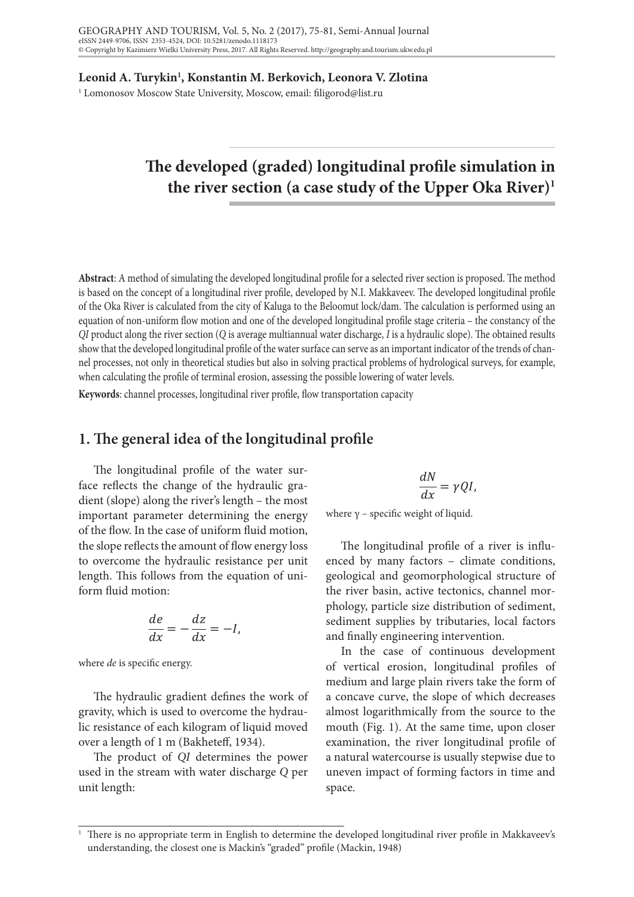**Leonid A. Turykin1 , Konstantin M. Berkovich, Leonora V. Zlotina**

<sup>1</sup> Lomonosov Moscow State University, Moscow, email: filigorod@list.ru

# The developed (graded) longitudinal profile simulation in the river section (a case study of the Upper Oka River)<sup>1</sup>

Abstract: A method of simulating the developed longitudinal profile for a selected river section is proposed. The method is based on the concept of a longitudinal river profile, developed by N.I. Makkaveev. The developed longitudinal profile of the Oka River is calculated from the city of Kaluga to the Beloomut lock/dam. The calculation is performed using an  $\alpha$ equation of non-uniform flow motion and one of the developed longitudinal profile stage criteria – the constancy of the *QI* product along the river section (*Q* is average multiannual water discharge, *I* is a hydraulic slope). The obtained results show that the developed longitudinal profile of the water surface can serve as an important indicator of the trends of channel processes, not only in theoretical studies but also in solving practical problems of hydrological surveys, for example,  $\frac{1}{2}$ when calculating the profile of terminal erosion, assessing the possible lowering of water levels.

**Keywords**: channel processes, longitudinal river profile, flow transportation capacity **Key words**: channel processes, longitudinal river profile, flow transportation capacity

# 1. The general idea of the longitudinal profile

The longitudinal profile of the water surface reflects the change of the hydraulic gradient (slope) along the river's length – the most important parameter of the energy of the energy of the energy of the energy of the energy of the energy of the energy of the energy of the energy of the energy of the energ important parameter determining the energy where  $\gamma$  - spe of the flow. In the case of uniform fluid motion, the slope reflects the amount of flow energy loss The longitudinal profile to overcome the hydraulic resistance per unit length. This follows from the equation of uniform fluid motion:

$$
\frac{de}{dx} = -\frac{dz}{dx} = -I,
$$

 $w<sub>h</sub>$ where *de* is specific energy.

**1. The general idea of the longitudinal profile** 

The hydraulic gradient defines the work of a concave curve, the gravity, which is used to overcome the hydraulic resistance of each kilogram of liquid moved over a length of 1 m (Bakheteff, 1934).

The gradient of  $\overline{O}$  determines the general river profile in  $\overline{O}$ The product of *QI* determines the power used in the stream with water discharge *Q* per unit length:

190<br>190

$$
\frac{dN}{dx} = \gamma QI,
$$

where  $\gamma$  – specific weight of liquid.

istance per unit enced by many factors - climate conditions, n the equation of uni- geological and geomorphological structure of phology, particle size distribution of sediment,  $\frac{z}{z} = -l$  sediment supplies by tributaries, local factors The longitudinal profile of a river is influthe river basin, active tectonics, channel morand finally engineering intervention.

medium and large plain rivers take the form of In the case of continuous development of vertical erosion, longitudinal profiles of mouth that the source the mouth (Fig. 1). At the same time the source of which decreases overcome the hydrau- almost logarithmically from the source to the examination, the river longitudinal profile of the start of 1934). mouth (Fig. 1). At the same time, upon closer a natural watercourse is usually stepwise due to uneven impact of forming factors in time and space.

<sup>150</sup> understanding, the closest one is Mackin's "graded" profile (Mackin, 1948) $1$  There is no appropriate term in English to determine the developed longitudinal river profile in Makkaveev's  $\frac{1}{\pi}$  ine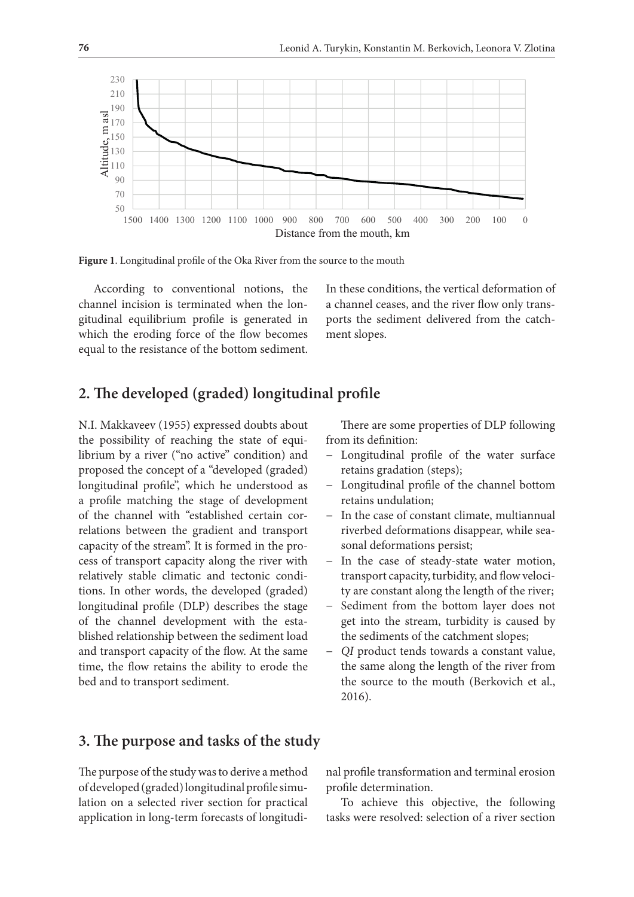

**Figure 1.** Longitudinal profile of the Oka River from the source to the mouth **Figure 1**. Longitudinal profile of the Oka River from the source to the mouth

According to conventional notions, the Inthese conditions, the vertical deformation which the eroding force of the flow becomes ment slopes. equal to the resistance of the bottom sediment. channel incision is terminated when the longitudinal equilibrium profile is generated in

idinal equilibrium profile is generated in yorts the sediment delivered from the catch-In these conditions, the vertical deformation of a channel ceases, and the river flow only transment slopes.

### **2. The developed (graded) longitudinal profile**

N.I. Makkaveev (1955) expressed doubts about the possibility of reaching the state of equilibrium by a river ("no active" condition) and proposed the concept of a "developed (graded) longitudinal profile", which he understood as a profile matching the stage of development of the channel with "established certain correlations between the gradient and transport capacity of the stream". It is formed in the process of transport capacity along the river with relatively stable climatic and tectonic conditions. In other words, the developed (graded) longitudinal profile (DLP) describes the stage of the channel development with the established relationship between the sediment load and transport capacity of the flow. At the same time, the flow retains the ability to erode the bed and to transport sediment.

There are some properties of DLP following from its definition:

- − Longitudinal profile of the water surface retains gradation (steps);
- − Longitudinal profile of the channel bottom retains undulation;
- − In the case of constant climate, multiannual riverbed deformations disappear, while seasonal deformations persist;
- − In the case of steady-state water motion, transport capacity, turbidity, and flow velocity are constant along the length of the river;
- − Sediment from the bottom layer does not get into the stream, turbidity is caused by the sediments of the catchment slopes;
- − *QI* product tends towards a constant value, the same along the length of the river from the source to the mouth (Berkovich et al., 2016).

#### **3. The purpose and tasks of the study**

The purpose of the study was to derive a method of developed (graded) longitudinal profile simulation on a selected river section for practical application in long-term forecasts of longitudi-

nal profile transformation and terminal erosion profile determination.

To achieve this objective, the following tasks were resolved: selection of a river section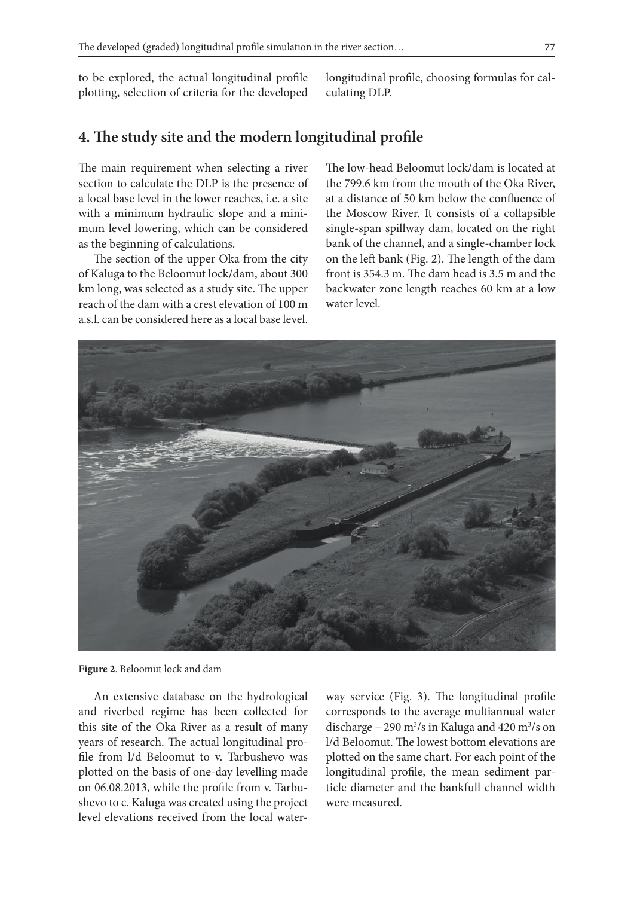to be explored, the actual longitudinal profile plotting, selection of criteria for the developed culating DLP.

longitudinal profile, choosing formulas for calculating DLP.

# 4. The study site and the modern longitudinal profile

section to calculate the DLP is the presence of a local base level in the lower reaches, i.e. a site with a minimum hydraulic slope and a mini-<br>the Moscow River. It consists of a collapsible mum level lowering, which can be considered as the beginning of calculations. a local base level in the lower reaches, i.e. a site at a distance of 50 km below the confluence of

The section of the upper Oka from the city of Kaluga to the Beloomut lock/dam, about 300 km long, was selected as a study site. The upper reach of the dam with a crest elevation of  $100 \text{ m}$ a.s.l. can be considered here as a local base level.

The main requirement when selecting a river The low-head Beloomut lock/dam is located at The low-head Beloomut lock/dam is located at the 799.6 km from the mouth of the Oka River the Moscow River. It consists of a collapsible single-span spillway dam, located on the right as the beginning of calculations. bank of the channel, and a single-chamber lock The section of the upper Oka from the city on the left bank (Fig. 2). The length of the dam of Kaluga to the Beloomut lock/dam, about 300 front is 354.3 m. The dam head is 3.5 m and the backwater zone length reaches 60 km at a low water level.



**Figure 2.** Beloomut lock and dam **Figure 2**. Beloomut lock and dam

An extensive database on the hydrological and riverbed regime has been collected for years of research. The actual longitudinal profile from l/d Beloomut to v. Tarbushevo was on 06.08.2013, while the profile from v. Tarbushevo to c. Kaluga was created using the project level elevations received from the local water-

riverbed regime has been collected for corresponds to the average multiannual water this site of the Oka River as a result of many discharge – 290 m<sup>3</sup>/s in Kaluga and 420 m<sup>3</sup>/s on file from  $1/d$  Beloomut to v. Tarbushevo was plotted on the same chart. For each point of the plotted on the basis of one-day levelling made longitudinal profile, the mean sediment parway service (Fig. 3). The longitudinal profile discharge – 290 m<sup>3</sup>/s in Kaluga and 420 m<sup>3</sup>/s on l/d Beloomut. The lowest bottom elevations are longitudinal profile, the mean sediment particle diameter and the bankfull channel width were measured.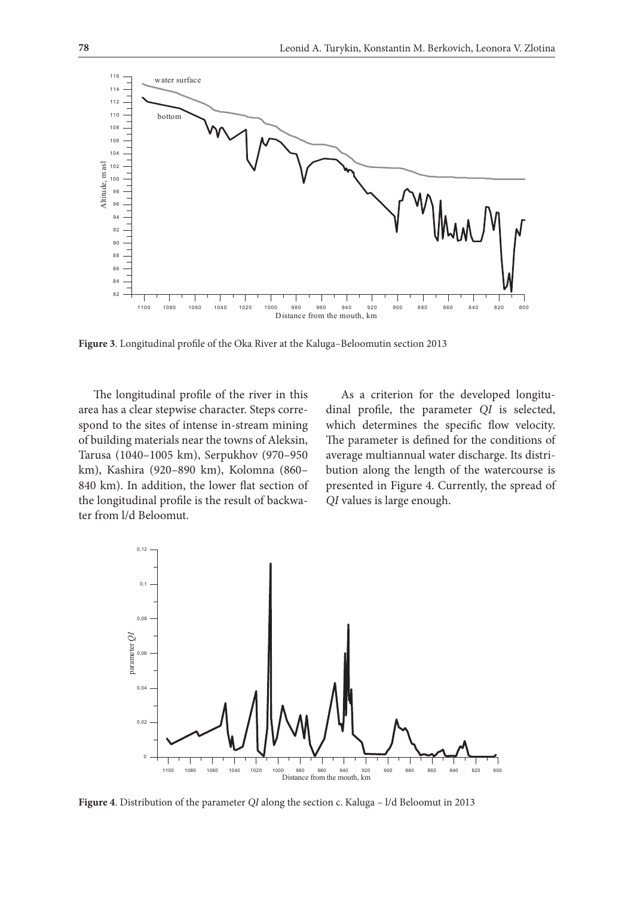

**Figure 3**. Longitudinal profile of the Oka River at the Kaluga–Beloomutin section 2013

The longitudinal profile of the river in this heads a criterion for the developed lon area has a clear stepwise character. Steps corre- dinal profile, the parameter QI is sele spond to the sites of intense in-stream mining her which determines the specific flow veloc backwater from laternias heart the towns of Thekshit,<br>Tarusa (1040–1005 km), Serpukhov (970–950 840 km). In addition, the lower flat section of presented in Figure 4. Currently, the spre the longitudinal profile is the result of backwa- QI values is large enough. Figure 4. Currently, the spread of  $\alpha$ of building materials near the towns of Aleksin, km), Kashira (920–890 km), Kolomna (860– ter from l/d Beloomut.

hira (920-890 km), Kolomna (860- bution along the length of the watercourse is As a criterion for the developed longitudinal profile, the parameter *QI* is selected, which determines the specific flow velocity. The parameter is defined for the conditions of average multiannual water discharge. Its distripresented in Figure 4. Currently, the spread of *QI* values is large enough.



**Figure 4**. Distribution of the parameter *QI* along the section c. Kaluga – l/d Beloomut in 2013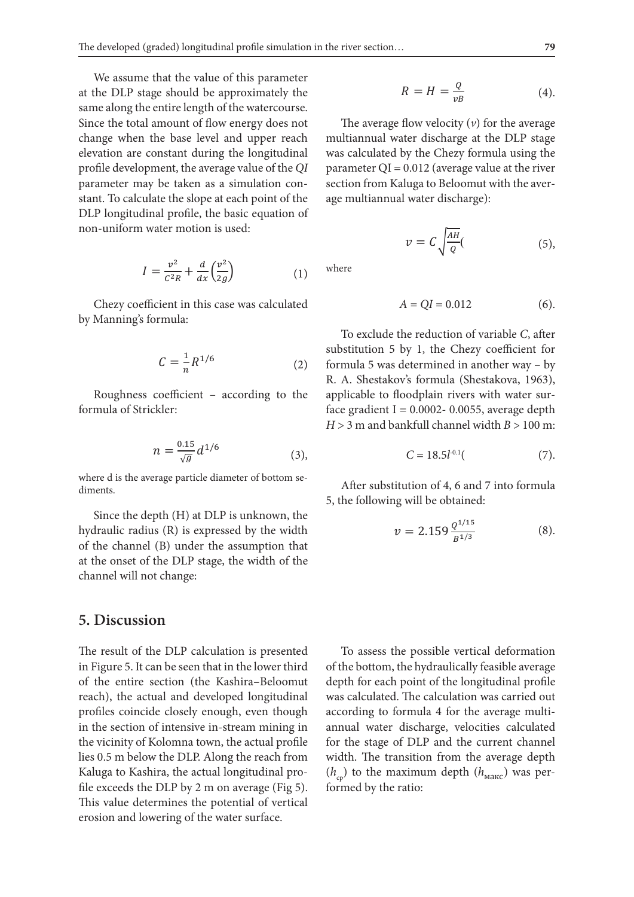channel will not change:

We assume that the value of this parameter  $\alpha$ at the DLP stage should be approximately the  $R = H = \frac{Q}{nR}$ are the Distribution of the problems of the problems are  $vB$  and the mouth of the watercourse. Since the total amount of flow energy does not The average flow velocity (v) for change when the base level and upper reach multiannual water discharge a elevation are constant during the longitudinal was calculated by the Chezy formula profile development, the average value of the QI parameter  $QI = 0.012$  (average value at parameter may be taken as a simulation con-<br>
parameter may be taken as a simulation constant. To calculate the slope at each point of the age multiannual water discharge): DLP longitudinal profile, the basic equation of  $\frac{1}{2}$  calculate the slope at each point of non-uniform water motion is used: parameter may be taken as a simulation con-concertion from Kaluga to Beloomut with non-uniform water motion is used:  $\sqrt{\frac{AH}{A}}$ 

$$
I = \frac{v^2}{c^2 R} + \frac{d}{dx} \left(\frac{v^2}{2g}\right)
$$
 (1) where

by Manning's formula: Chezy coefficient in this case was calculated

$$
C = \frac{1}{n} R^{1/6}
$$
substitu  
formula (2) formula  
R. A. S

Roughness coefficient – according to the formula of Strickler: formula of Strickler: formula of Strickler:  $\ddot{\mathbf{r}}$ 

$$
m = \frac{0.15}{\sqrt{g}} d^{1/6}
$$
 (3),

where d is the average particle diameter of bottom sediments.

> Since the depth (H) at DLP is unknown, the hydraulic radius (R) is expressed by the width of the channel (B) under the assumption that at the onset of the DLP stage, the width of the channel will not change:

#### **5. Discussion**

The result of the DLP calculation is presented in Figure 5. It can be seen that in the lower third of the entire section (the Kashira–Beloomut reach), the actual and developed longitudinal profiles coincide closely enough, even though in the section of intensive in-stream mining in the vicinity of Kolomna town, the actual profile lies 0.5 m below the DLP. Along the reach from Kaluga to Kashira, the actual longitudinal profile exceeds the DLP by 2 m on average (Fig 5). This value determines the potential of vertical erosion and lowering of the water surface.

$$
R = H = \frac{Q}{vB} \tag{4}.
$$

reach multiannual water discharge at the DLP stage value of the  $QI$  parameter  $QI = 0.012$  (average value at the river mulation con-<br>ection from Kaluga to Beloomut with the aver-The average flow velocity (*v*) for the average nd The average at the DLP stage and was calculated by the Chezy formula using the each point of the age multiannual water discharge):  $\mathcal{L}$  $\mu$ itudinal was calculated by the Chezy formula using the  $\mu$  $\frac{1}{2}$  for the Chezy formulation concept for  $\frac{1}{2}$  = 0.012 (average value at the  $\frac{1}{2}$   $\frac{1}{2}$ 

non-uniform water motion is used:  
\n
$$
v = C \sqrt{\frac{AH}{Q}}.
$$
\n(5),

where

$$
A = QI = 0.012
$$
 (6).

To existent in this case was case was case was case was calculated by  $\Gamma$  $\frac{1}{n}R^{1/6}$  (2) formula 5 was determined in another way – by R. A. Shestakov's formula (Shestakova, 1963), Roughness coefficient – according to the formula of Strickler: To exclude the reduction of variable C, after substitution 5 by 1, the Chezy coefficient for ccording to the applicable to floodplain rivers with water sur- $\frac{1}{6}$  face gradient I = 0.0002- 0.0055, average depth  $H > 3$  m and bankfull channel width  $B > 100$  m:

$$
C = 18.5 l^{0.1} \tag{7}.
$$

After substitution of 4, 6 and 7 into formula After substitution of 4, 6 and 7 into formula 5, the following will be obtained: 5, the following will be obtained: After substitution of 4, 6 and 7 into formula 5, the following will be obtained:

$$
v = 2.159 \frac{Q^{1/15}}{B^{1/3}}
$$
 (8).

profiles coincide coincide coincide coincide coincide coincide intensive in the section of intensive in-stream minimage in the section of intensive in the section of intensive in the section of intensive in the section of In the lower third of the bottom, the hydraulically feasible average d longitudinal was calculated. The calculation was carried out the continuum of the contract of the continuum of the second second according to formula 4 for the average multi- $\mathcal{L}_{\text{Reloomut}}$  denth for each point of the longitudinal profile. The procedure of the potential of vertical or vertical errorship of the water surface. third of the entire section (the Kashira), the actual and developed longitudinal and developed longitudinal and developed longitudinal and developed longitudinal and developed longitudinal and developed longitudinal and d shira-Beloomut depth for each point of the longitudinal profile tream mining in annual water discharge, velocities calculated To assess the possible vertical deformation for the stage of DLP and the current channel calculated for the stage of DLP and the current channel comparison width. The transition from the average depth  $(h_{cp})$  to the maximum depth  $(h_{\text{maxc}})$  was per- $\mathcal{L}_\mathcal{D}$ formed by the ratio: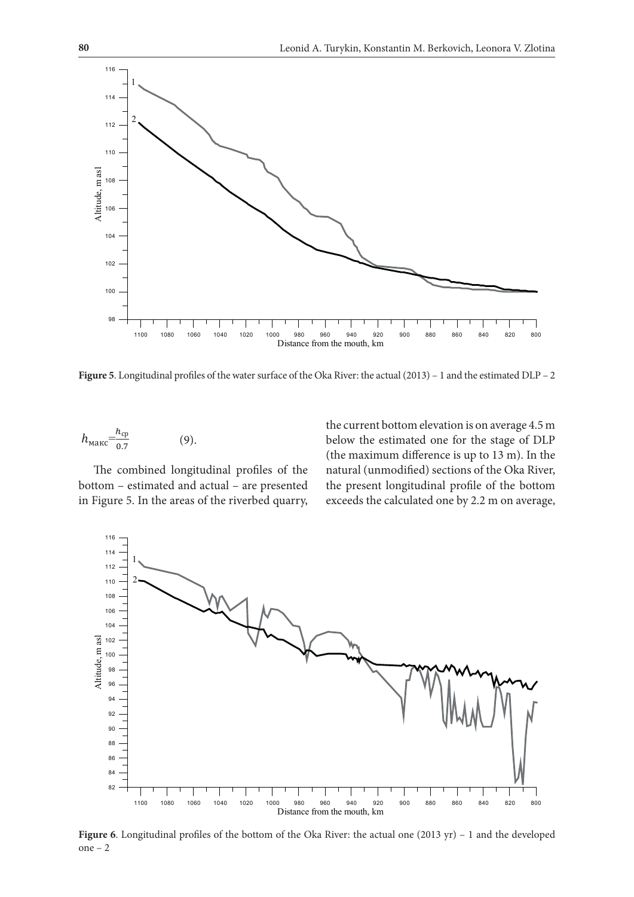

**Figure 5**. Longitudinal profiles of the water surface of the Oka River: the actual (2013) – 1 and the estimated DLP – 2

$$
h_{\text{MAKC}} = \frac{h_{\text{cp}}}{0.7} \tag{9}.
$$

bottom – estimated and actual – are presented the present in Figure 5. In the areas of the riverbed quarry, exceeds the The combined longitudinal profiles of the

the current bottom elevation is on average 4.5 m below the estimated one for the stage of DLP (the maximum difference is up to 13 m). In the natural (unmodified) sections of the Oka River, the present longitudinal profile of the bottom exceeds the calculated one by 2.2 m on average,



**Figure 6**. Longitudinal profiles of the bottom of the Oka River: the actual one (2013 yr) – 1 and the developed one – 2